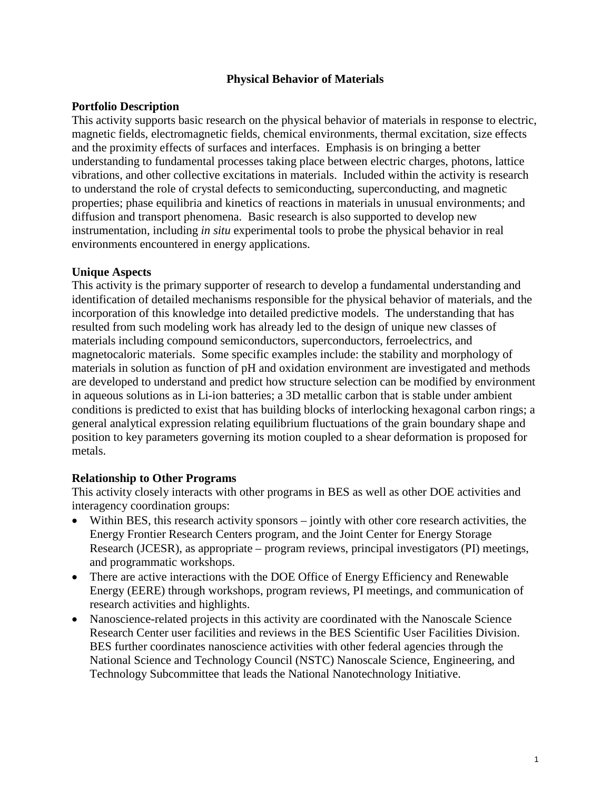## **Physical Behavior of Materials**

## **Portfolio Description**

This activity supports basic research on the physical behavior of materials in response to electric, magnetic fields, electromagnetic fields, chemical environments, thermal excitation, size effects and the proximity effects of surfaces and interfaces. Emphasis is on bringing a better understanding to fundamental processes taking place between electric charges, photons, lattice vibrations, and other collective excitations in materials. Included within the activity is research to understand the role of crystal defects to semiconducting, superconducting, and magnetic properties; phase equilibria and kinetics of reactions in materials in unusual environments; and diffusion and transport phenomena. Basic research is also supported to develop new instrumentation, including *in situ* experimental tools to probe the physical behavior in real environments encountered in energy applications.

## **Unique Aspects**

This activity is the primary supporter of research to develop a fundamental understanding and identification of detailed mechanisms responsible for the physical behavior of materials, and the incorporation of this knowledge into detailed predictive models. The understanding that has resulted from such modeling work has already led to the design of unique new classes of materials including compound semiconductors, superconductors, ferroelectrics, and magnetocaloric materials. Some specific examples include: the stability and morphology of materials in solution as function of pH and oxidation environment are investigated and methods are developed to understand and predict how structure selection can be modified by environment in aqueous solutions as in Li-ion batteries; a 3D metallic carbon that is stable under ambient conditions is predicted to exist that has building blocks of interlocking hexagonal carbon rings; a general analytical expression relating equilibrium fluctuations of the grain boundary shape and position to key parameters governing its motion coupled to a shear deformation is proposed for metals.

#### **Relationship to Other Programs**

This activity closely interacts with other programs in BES as well as other DOE activities and interagency coordination groups:

- Within BES, this research activity sponsors jointly with other core research activities, the Energy Frontier Research Centers program, and the Joint Center for Energy Storage Research (JCESR), as appropriate – program reviews, principal investigators (PI) meetings, and programmatic workshops.
- There are active interactions with the DOE Office of Energy Efficiency and Renewable Energy (EERE) through workshops, program reviews, PI meetings, and communication of research activities and highlights.
- Nanoscience-related projects in this activity are coordinated with the Nanoscale Science Research Center user facilities and reviews in the BES Scientific User Facilities Division. BES further coordinates nanoscience activities with other federal agencies through the National Science and Technology Council (NSTC) Nanoscale Science, Engineering, and Technology Subcommittee that leads the National Nanotechnology Initiative.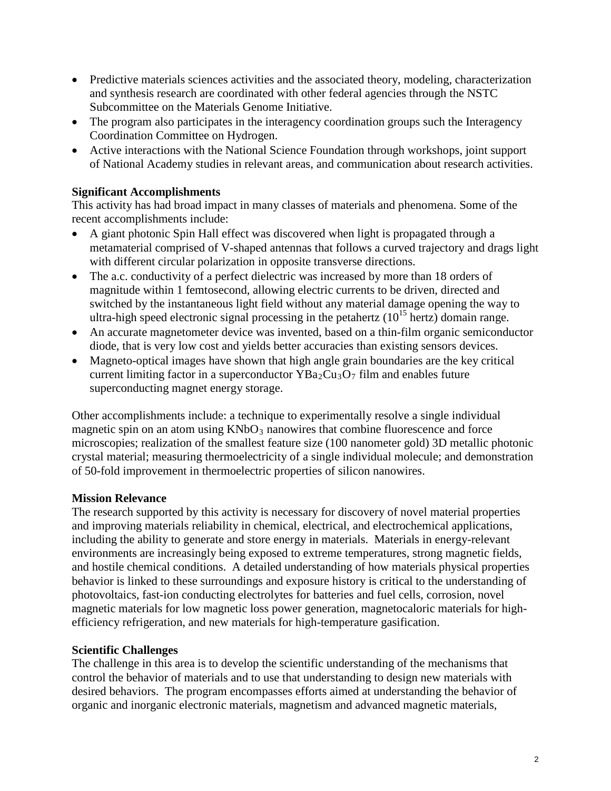- Predictive materials sciences activities and the associated theory, modeling, characterization and synthesis research are coordinated with other federal agencies through the NSTC Subcommittee on the Materials Genome Initiative.
- The program also participates in the interagency coordination groups such the Interagency Coordination Committee on Hydrogen.
- Active interactions with the National Science Foundation through workshops, joint support of National Academy studies in relevant areas, and communication about research activities.

# **Significant Accomplishments**

This activity has had broad impact in many classes of materials and phenomena. Some of the recent accomplishments include:

- A giant photonic Spin Hall effect was discovered when light is propagated through a metamaterial comprised of V-shaped antennas that follows a curved trajectory and drags light with different circular polarization in opposite transverse directions.
- The a.c. conductivity of a perfect dielectric was increased by more than 18 orders of magnitude within 1 femtosecond, allowing electric currents to be driven, directed and switched by the instantaneous light field without any material damage opening the way to ultra-high speed electronic signal processing in the petahertz  $(10^{15}$  hertz) domain range.
- An accurate magnetometer device was invented, based on a thin-film organic semiconductor diode, that is very low cost and yields better accuracies than existing sensors devices.
- Magneto-optical images have shown that high angle grain boundaries are the key critical current limiting factor in a superconductor  $YBa_2Cu_3O_7$  film and enables future superconducting magnet energy storage.

Other accomplishments include: a technique to experimentally resolve a single individual magnetic spin on an atom using  $KNbO_3$  nanowires that combine fluorescence and force microscopies; realization of the smallest feature size (100 nanometer gold) 3D metallic photonic crystal material; measuring thermoelectricity of a single individual molecule; and demonstration of 50-fold improvement in thermoelectric properties of silicon nanowires.

# **Mission Relevance**

The research supported by this activity is necessary for discovery of novel material properties and improving materials reliability in chemical, electrical, and electrochemical applications, including the ability to generate and store energy in materials. Materials in energy-relevant environments are increasingly being exposed to extreme temperatures, strong magnetic fields, and hostile chemical conditions. A detailed understanding of how materials physical properties behavior is linked to these surroundings and exposure history is critical to the understanding of photovoltaics, fast-ion conducting electrolytes for batteries and fuel cells, corrosion, novel magnetic materials for low magnetic loss power generation, magnetocaloric materials for highefficiency refrigeration, and new materials for high-temperature gasification.

# **Scientific Challenges**

The challenge in this area is to develop the scientific understanding of the mechanisms that control the behavior of materials and to use that understanding to design new materials with desired behaviors. The program encompasses efforts aimed at understanding the behavior of organic and inorganic electronic materials, magnetism and advanced magnetic materials,